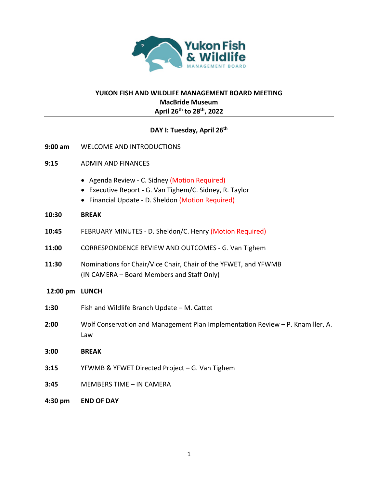

# **YUKON FISH AND WILDLIFE MANAGEMENT BOARD MEETING MacBride Museum April 26th to 28th, 2022**

# **DAY I: Tuesday, April 26th**

- **9:00 am** WELCOME AND INTRODUCTIONS
- **9:15** ADMIN AND FINANCES
	- Agenda Review C. Sidney (Motion Required)
	- Executive Report G. Van Tighem/C. Sidney, R. Taylor
	- Financial Update D. Sheldon (Motion Required)

### **10:30 BREAK**

- **10:45** FEBRUARY MINUTES D. Sheldon/C. Henry (Motion Required)
- **11:00** CORRESPONDENCE REVIEW AND OUTCOMES G. Van Tighem
- **11:30** Nominations for Chair/Vice Chair, Chair of the YFWET, and YFWMB (IN CAMERA – Board Members and Staff Only)

### **12:00 pm LUNCH**

- **1:30** Fish and Wildlife Branch Update M. Cattet
- **2:00** Wolf Conservation and Management Plan Implementation Review P. Knamiller, A. Law
- **3:00 BREAK**
- **3:15** YFWMB & YFWET Directed Project G. Van Tighem
- **3:45** MEMBERS TIME IN CAMERA
- **4:30 pm END OF DAY**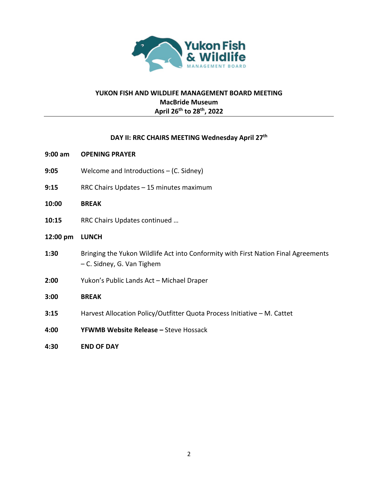

# **YUKON FISH AND WILDLIFE MANAGEMENT BOARD MEETING MacBride Museum April 26th to 28th, 2022**

### **DAY II: RRC CHAIRS MEETING Wednesday April 27th**

- **9:00 am OPENING PRAYER**
- **9:05** Welcome and Introductions (C. Sidney)
- **9:15** RRC Chairs Updates 15 minutes maximum
- **10:00 BREAK**
- **10:15** RRC Chairs Updates continued …

### **12:00 pm LUNCH**

- **1:30** Bringing the Yukon Wildlife Act into Conformity with First Nation Final Agreements – C. Sidney, G. Van Tighem
- **2:00** Yukon's Public Lands Act Michael Draper

#### **3:00 BREAK**

- **3:15** Harvest Allocation Policy/Outfitter Quota Process Initiative M. Cattet
- **4:00 YFWMB Website Release –** Steve Hossack
- **4:30 END OF DAY**